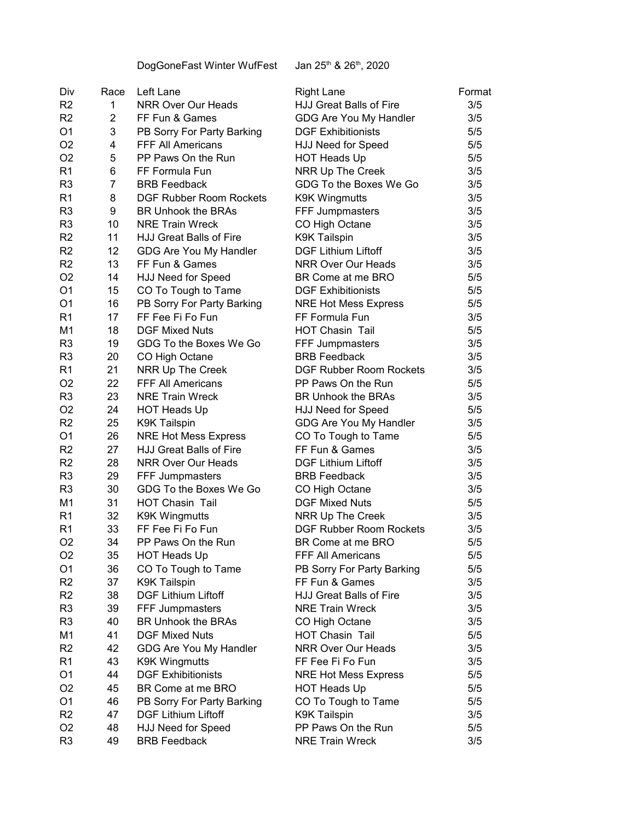DogGoneFast Winter WufFest Jan 25<sup>th</sup> & 26<sup>th</sup>, 2020

| Div            | Race            | Left Lane                      | <b>Right Lane</b>              | Format |
|----------------|-----------------|--------------------------------|--------------------------------|--------|
| R <sub>2</sub> | 1               | <b>NRR Over Our Heads</b>      | HJJ Great Balls of Fire        | 3/5    |
| R <sub>2</sub> | 2               | FF Fun & Games                 | GDG Are You My Handler         | 3/5    |
| O <sub>1</sub> | 3               | PB Sorry For Party Barking     | <b>DGF Exhibitionists</b>      | 5/5    |
| O <sub>2</sub> | 4               | <b>FFF All Americans</b>       | <b>HJJ Need for Speed</b>      | 5/5    |
| O <sub>2</sub> | 5               | PP Paws On the Run             | <b>HOT Heads Up</b>            | 5/5    |
| R <sub>1</sub> | 6               | FF Formula Fun                 | NRR Up The Creek               | 3/5    |
| R <sub>3</sub> | $\overline{7}$  | <b>BRB Feedback</b>            | GDG To the Boxes We Go         | 3/5    |
| R <sub>1</sub> | 8               | <b>DGF Rubber Room Rockets</b> | <b>K9K Wingmutts</b>           | 3/5    |
| R <sub>3</sub> | 9               | <b>BR Unhook the BRAs</b>      | <b>FFF Jumpmasters</b>         | 3/5    |
| R <sub>3</sub> | 10              | <b>NRE Train Wreck</b>         | CO High Octane                 | 3/5    |
| R <sub>2</sub> | 11              | <b>HJJ Great Balls of Fire</b> | <b>K9K Tailspin</b>            | 3/5    |
| R <sub>2</sub> | 12 <sup>2</sup> | GDG Are You My Handler         | <b>DGF Lithium Liftoff</b>     | 3/5    |
| R <sub>2</sub> | 13              | FF Fun & Games                 | <b>NRR Over Our Heads</b>      | 3/5    |
| O <sub>2</sub> | 14              | <b>HJJ Need for Speed</b>      | BR Come at me BRO              | 5/5    |
| O <sub>1</sub> | 15              | CO To Tough to Tame            | <b>DGF Exhibitionists</b>      | 5/5    |
| O <sub>1</sub> | 16              | PB Sorry For Party Barking     | <b>NRE Hot Mess Express</b>    | 5/5    |
| R <sub>1</sub> | 17              | FF Fee Fi Fo Fun               | FF Formula Fun                 | 3/5    |
| M <sub>1</sub> | 18              | <b>DGF Mixed Nuts</b>          | HOT Chasin Tail                | 5/5    |
| R <sub>3</sub> | 19              | GDG To the Boxes We Go         | FFF Jumpmasters                | 3/5    |
| R <sub>3</sub> | 20              | CO High Octane                 | <b>BRB Feedback</b>            | 3/5    |
| R <sub>1</sub> | 21              | NRR Up The Creek               | <b>DGF Rubber Room Rockets</b> | 3/5    |
| O <sub>2</sub> | 22              | <b>FFF All Americans</b>       | PP Paws On the Run             | 5/5    |
| R <sub>3</sub> | 23              | <b>NRE Train Wreck</b>         | <b>BR Unhook the BRAs</b>      | 3/5    |
| O <sub>2</sub> | 24              | <b>HOT Heads Up</b>            | <b>HJJ Need for Speed</b>      | 5/5    |
| R2             | 25              | <b>K9K Tailspin</b>            | GDG Are You My Handler         | 3/5    |
| O <sub>1</sub> | 26              | <b>NRE Hot Mess Express</b>    | CO To Tough to Tame            | 5/5    |
| R <sub>2</sub> | 27              | <b>HJJ Great Balls of Fire</b> | FF Fun & Games                 | 3/5    |
| R <sub>2</sub> | 28              | NRR Over Our Heads             | <b>DGF Lithium Liftoff</b>     | 3/5    |
| R <sub>3</sub> | 29              | FFF Jumpmasters                | <b>BRB Feedback</b>            | 3/5    |
| R <sub>3</sub> | 30              | GDG To the Boxes We Go         | CO High Octane                 | 3/5    |
| M <sub>1</sub> | 31              | <b>HOT Chasin Tail</b>         | <b>DGF Mixed Nuts</b>          | 5/5    |
| R <sub>1</sub> | 32              | <b>K9K Wingmutts</b>           | NRR Up The Creek               | 3/5    |
| R <sub>1</sub> | 33              | FF Fee Fi Fo Fun               | <b>DGF Rubber Room Rockets</b> | 3/5    |
| O <sub>2</sub> | 34              | PP Paws On the Run             | BR Come at me BRO              | 5/5    |
| O <sub>2</sub> | 35              | <b>HOT Heads Up</b>            | FFF All Americans              | 5/5    |
| O <sub>1</sub> | 36              | CO To Tough to Tame            | PB Sorry For Party Barking     | 5/5    |
| R <sub>2</sub> | 37              | <b>K9K Tailspin</b>            | FF Fun & Games                 | 3/5    |
| R <sub>2</sub> | 38              | <b>DGF Lithium Liftoff</b>     | <b>HJJ Great Balls of Fire</b> | 3/5    |
| R <sub>3</sub> | 39              | FFF Jumpmasters                | <b>NRE Train Wreck</b>         | 3/5    |
| R <sub>3</sub> | 40              | <b>BR Unhook the BRAs</b>      | CO High Octane                 | 3/5    |
| M <sub>1</sub> | 41              | <b>DGF Mixed Nuts</b>          | <b>HOT Chasin Tail</b>         | 5/5    |
| R <sub>2</sub> | 42              | GDG Are You My Handler         | <b>NRR Over Our Heads</b>      | 3/5    |
| R <sub>1</sub> | 43              | <b>K9K Wingmutts</b>           | FF Fee Fi Fo Fun               | 3/5    |
| O <sub>1</sub> | 44              | <b>DGF Exhibitionists</b>      | <b>NRE Hot Mess Express</b>    | 5/5    |
| O <sub>2</sub> | 45              | BR Come at me BRO              | <b>HOT Heads Up</b>            | 5/5    |
| O <sub>1</sub> | 46              | PB Sorry For Party Barking     | CO To Tough to Tame            | 5/5    |
| R <sub>2</sub> | 47              | <b>DGF Lithium Liftoff</b>     | <b>K9K Tailspin</b>            | 3/5    |
| O <sub>2</sub> | 48              | HJJ Need for Speed             | PP Paws On the Run             | 5/5    |
| R <sub>3</sub> | 49              | <b>BRB Feedback</b>            | <b>NRE Train Wreck</b>         | 3/5    |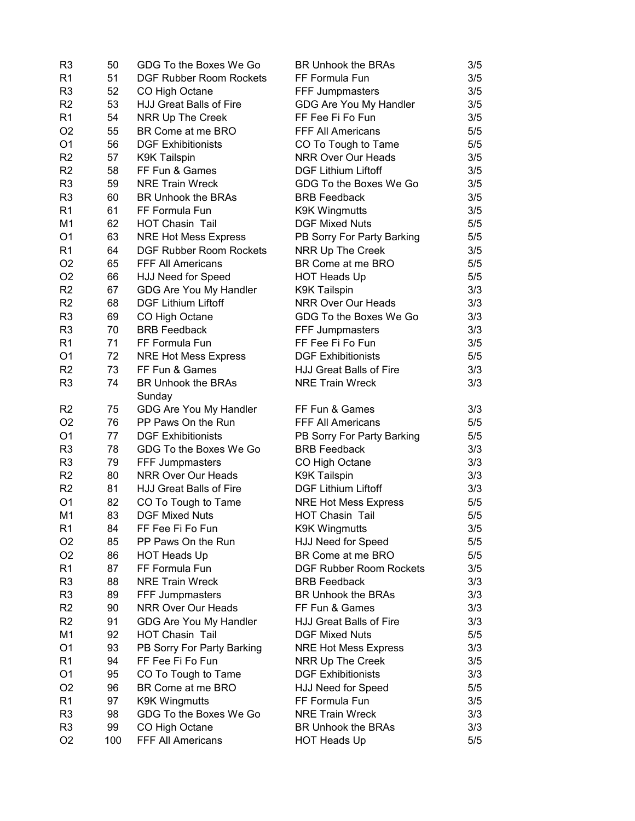| R <sub>3</sub> | 50  | GDG To the Boxes We Go         | <b>BR Unhook the BRAs</b>      | 3/5 |
|----------------|-----|--------------------------------|--------------------------------|-----|
| R <sub>1</sub> | 51  | <b>DGF Rubber Room Rockets</b> | FF Formula Fun                 | 3/5 |
| R <sub>3</sub> | 52  | CO High Octane                 | FFF Jumpmasters                | 3/5 |
| R <sub>2</sub> | 53  | HJJ Great Balls of Fire        | GDG Are You My Handler         | 3/5 |
| R <sub>1</sub> | 54  | <b>NRR Up The Creek</b>        | FF Fee Fi Fo Fun               | 3/5 |
| O <sub>2</sub> | 55  | BR Come at me BRO              | <b>FFF All Americans</b>       | 5/5 |
| O <sub>1</sub> | 56  | <b>DGF Exhibitionists</b>      | CO To Tough to Tame            | 5/5 |
| R <sub>2</sub> | 57  | <b>K9K Tailspin</b>            | NRR Over Our Heads             | 3/5 |
| R <sub>2</sub> | 58  | FF Fun & Games                 | <b>DGF Lithium Liftoff</b>     | 3/5 |
| R <sub>3</sub> | 59  | <b>NRE Train Wreck</b>         | GDG To the Boxes We Go         | 3/5 |
| R <sub>3</sub> | 60  | BR Unhook the BRAs             | <b>BRB</b> Feedback            | 3/5 |
| R <sub>1</sub> | 61  | FF Formula Fun                 | <b>K9K Wingmutts</b>           | 3/5 |
| M <sub>1</sub> | 62  | <b>HOT Chasin Tail</b>         | <b>DGF Mixed Nuts</b>          | 5/5 |
| O <sub>1</sub> | 63  | <b>NRE Hot Mess Express</b>    | PB Sorry For Party Barking     | 5/5 |
| R <sub>1</sub> | 64  | <b>DGF Rubber Room Rockets</b> | NRR Up The Creek               | 3/5 |
| O <sub>2</sub> | 65  | FFF All Americans              | BR Come at me BRO              | 5/5 |
| O <sub>2</sub> | 66  | HJJ Need for Speed             | <b>HOT Heads Up</b>            | 5/5 |
| R <sub>2</sub> | 67  | GDG Are You My Handler         | <b>K9K Tailspin</b>            | 3/3 |
| R <sub>2</sub> | 68  | <b>DGF Lithium Liftoff</b>     | <b>NRR Over Our Heads</b>      | 3/3 |
| R <sub>3</sub> | 69  | CO High Octane                 | GDG To the Boxes We Go         | 3/3 |
| R <sub>3</sub> | 70  | <b>BRB Feedback</b>            | FFF Jumpmasters                | 3/3 |
| R <sub>1</sub> | 71  | FF Formula Fun                 | FF Fee Fi Fo Fun               | 3/5 |
| O <sub>1</sub> | 72  | <b>NRE Hot Mess Express</b>    | <b>DGF Exhibitionists</b>      | 5/5 |
| R <sub>2</sub> | 73  | FF Fun & Games                 | HJJ Great Balls of Fire        | 3/3 |
| R <sub>3</sub> | 74  | <b>BR Unhook the BRAs</b>      | <b>NRE Train Wreck</b>         | 3/3 |
|                |     | Sunday                         |                                |     |
| R <sub>2</sub> | 75  | GDG Are You My Handler         | FF Fun & Games                 | 3/3 |
| O <sub>2</sub> | 76  | PP Paws On the Run             | FFF All Americans              | 5/5 |
| O <sub>1</sub> | 77  | <b>DGF Exhibitionists</b>      | PB Sorry For Party Barking     | 5/5 |
| R <sub>3</sub> | 78  | GDG To the Boxes We Go         | <b>BRB Feedback</b>            | 3/3 |
| R <sub>3</sub> | 79  | FFF Jumpmasters                | CO High Octane                 | 3/3 |
| R <sub>2</sub> | 80  | NRR Over Our Heads             | <b>K9K Tailspin</b>            | 3/3 |
| R <sub>2</sub> | 81  | HJJ Great Balls of Fire        | <b>DGF Lithium Liftoff</b>     | 3/3 |
| O <sub>1</sub> | 82  | CO To Tough to Tame            | <b>NRE Hot Mess Express</b>    | 5/5 |
| M <sub>1</sub> | 83  | <b>DGF Mixed Nuts</b>          | <b>HOT Chasin Tail</b>         | 5/5 |
| R1             | 84  | FF Fee Fi Fo Fun               | <b>K9K Wingmutts</b>           | 3/5 |
| O <sub>2</sub> | 85  | PP Paws On the Run             | HJJ Need for Speed             | 5/5 |
| O <sub>2</sub> | 86  | <b>HOT Heads Up</b>            | BR Come at me BRO              | 5/5 |
| R <sub>1</sub> | 87  | FF Formula Fun                 | <b>DGF Rubber Room Rockets</b> | 3/5 |
| R <sub>3</sub> | 88  | <b>NRE Train Wreck</b>         | <b>BRB Feedback</b>            | 3/3 |
| R <sub>3</sub> | 89  | FFF Jumpmasters                | <b>BR Unhook the BRAs</b>      | 3/3 |
| R <sub>2</sub> | 90  | <b>NRR Over Our Heads</b>      | FF Fun & Games                 | 3/3 |
| R <sub>2</sub> | 91  | GDG Are You My Handler         | HJJ Great Balls of Fire        | 3/3 |
| M <sub>1</sub> | 92  | <b>HOT Chasin Tail</b>         | <b>DGF Mixed Nuts</b>          | 5/5 |
| O <sub>1</sub> | 93  | PB Sorry For Party Barking     | <b>NRE Hot Mess Express</b>    | 3/3 |
| R <sub>1</sub> | 94  | FF Fee Fi Fo Fun               | NRR Up The Creek               | 3/5 |
| O <sub>1</sub> | 95  | CO To Tough to Tame            | <b>DGF Exhibitionists</b>      | 3/3 |
| O <sub>2</sub> | 96  | BR Come at me BRO              | HJJ Need for Speed             | 5/5 |
| R <sub>1</sub> | 97  | <b>K9K Wingmutts</b>           | FF Formula Fun                 | 3/5 |
| R <sub>3</sub> | 98  | GDG To the Boxes We Go         | <b>NRE Train Wreck</b>         | 3/3 |
| R <sub>3</sub> | 99  | CO High Octane                 | <b>BR Unhook the BRAs</b>      | 3/3 |
| O <sub>2</sub> | 100 | FFF All Americans              | <b>HOT Heads Up</b>            | 5/5 |
|                |     |                                |                                |     |